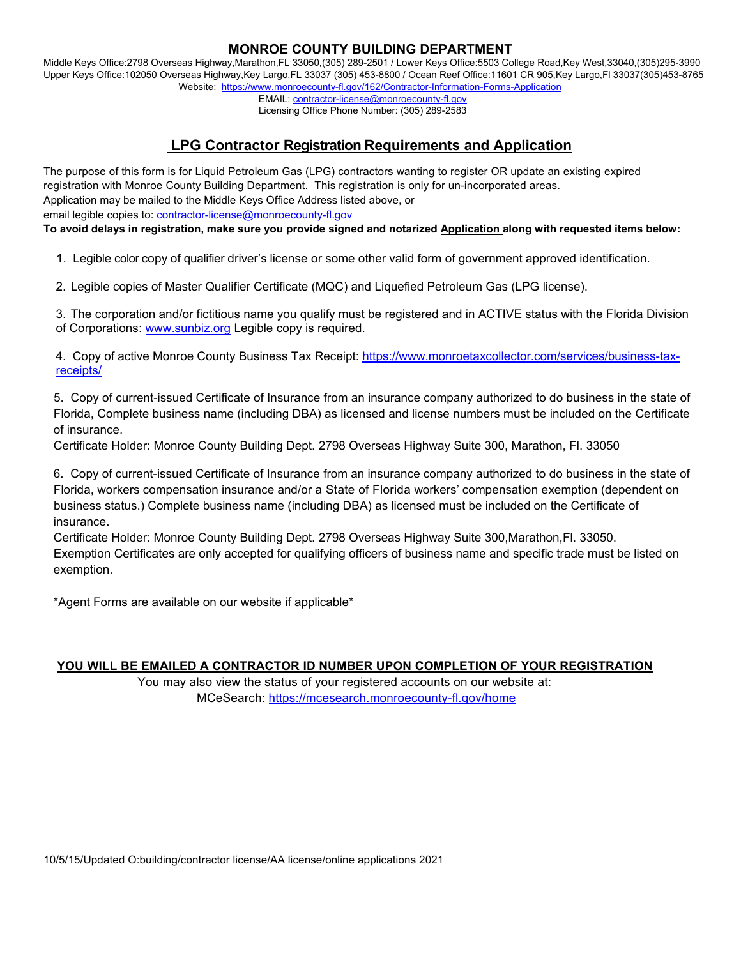### **MONROE COUNTY BUILDING DEPARTMENT**

Middle Keys Office:2798 Overseas Highway,Marathon,FL 33050,(305) 289-2501 / Lower Keys Office:5503 College Road,Key West,33040,(305)295-3990 Upper Keys Office:102050 Overseas Highway,Key Largo,FL 33037 (305) 453-8800 / Ocean Reef Office:11601 CR 905,Key Largo,Fl 33037(305)453-8765 Website: https://www.monroecounty-fl.gov/162/Contractor-Information-Forms-Application

> EMAIL: contractor-license@monroecounty-fl.gov Licensing Office Phone Number: (305) 289-2583

# **LPG Contractor Registration Requirements and Application**

The purpose of this form is for Liquid Petroleum Gas (LPG) contractors wanting to register OR update an existing expired registration with Monroe County Building Department. This registration is only for un-incorporated areas. Application may be mailed to the Middle Keys Office Address listed above, or email legible copies to: contractor-license@monroecounty-fl.gov

**To avoid delays in registration, make sure you provide signed and notarized Application along with requested items below:** 

1. Legible color copy of qualifier driver's license or some other valid form of government approved identification.

2. Legible copies of Master Qualifier Certificate (MQC) and Liquefied Petroleum Gas (LPG license).

3. The corporation and/or fictitious name you qualify must be registered and in ACTIVE status with the Florida Division of Corporations: www.sunbiz.org Legible copy is required.

4. Copy of active Monroe County Business Tax Receipt: https://www.monroetaxcollector.com/services/business-taxreceipts/

 5. Copy of current-issued Certificate of Insurance from an insurance company authorized to do business in the state of Florida, Complete business name (including DBA) as licensed and license numbers must be included on the Certificate of insurance.

Certificate Holder: Monroe County Building Dept. 2798 Overseas Highway Suite 300, Marathon, Fl. 33050

 6. Copy of current-issued Certificate of Insurance from an insurance company authorized to do business in the state of Florida, workers compensation insurance and/or a State of Florida workers' compensation exemption (dependent on business status.) Complete business name (including DBA) as licensed must be included on the Certificate of insurance.

 Certificate Holder: Monroe County Building Dept. 2798 Overseas Highway Suite 300,Marathon,Fl. 33050. Exemption Certificates are only accepted for qualifying officers of business name and specific trade must be listed on exemption.

\*Agent Forms are available on our website if applicable\*

### **YOU WILL BE EMAILED A CONTRACTOR ID NUMBER UPON COMPLETION OF YOUR REGISTRATION**

 You may also view the status of your registered accounts on our website at: MCeSearch: https://mcesearch.monroecounty-fl.gov/home

10/5/15/Updated O:building/contractor license/AA license/online applications 2021